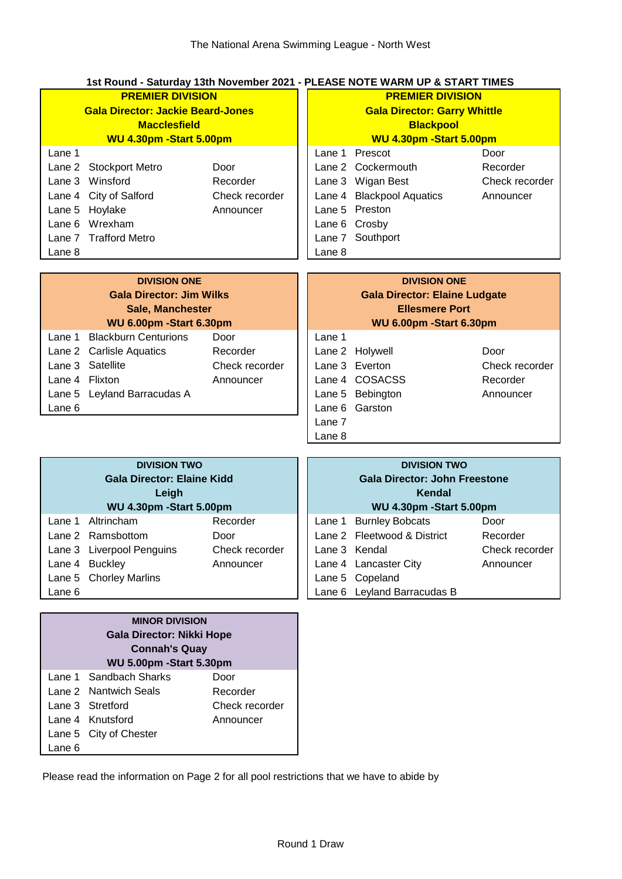# **1st Round - Saturday 13th November 2021 - PLEASE NOTE WARM UP & START TIMES**

| <b>PREMIER DIVISION</b><br><b>Gala Director: Jackie Beard-Jones</b><br><b>Macclesfield</b><br>WU 4.30pm - Start 5.00pm |                        |                |        | <b>PREMIER DIVISION</b><br><b>Gala Director: Garry Whittle</b><br><b>Blackpool</b><br>WU 4.30pm - Start 5.00pm |                |  |
|------------------------------------------------------------------------------------------------------------------------|------------------------|----------------|--------|----------------------------------------------------------------------------------------------------------------|----------------|--|
| Lane 1                                                                                                                 |                        |                |        | Lane 1 Prescot                                                                                                 | Door           |  |
|                                                                                                                        | Lane 2 Stockport Metro | Door           |        | Lane 2 Cockermouth                                                                                             | Recorder       |  |
|                                                                                                                        | Lane 3 Winsford        | Recorder       |        | Lane 3 Wigan Best                                                                                              | Check recorder |  |
|                                                                                                                        | Lane 4 City of Salford | Check recorder |        | Lane 4 Blackpool Aquatics                                                                                      | Announcer      |  |
|                                                                                                                        | Lane 5 Hoylake         | Announcer      |        | Lane 5 Preston                                                                                                 |                |  |
|                                                                                                                        | Lane 6 Wrexham         |                |        | Lane 6 Crosby                                                                                                  |                |  |
|                                                                                                                        | Lane 7 Trafford Metro  |                |        | Lane 7 Southport                                                                                               |                |  |
| Lane 8                                                                                                                 |                        |                | Lane 8 |                                                                                                                |                |  |

| <b>DIVISION ONE</b>             |                             |                | <b>DIVISION ONE</b>                  |                  |                |
|---------------------------------|-----------------------------|----------------|--------------------------------------|------------------|----------------|
| <b>Gala Director: Jim Wilks</b> |                             |                | <b>Gala Director: Elaine Ludgate</b> |                  |                |
| <b>Sale, Manchester</b>         |                             |                | <b>Ellesmere Port</b>                |                  |                |
| WU 6.00pm - Start 6.30pm        |                             |                | WU 6.00pm - Start 6.30pm             |                  |                |
| Lane 1                          | <b>Blackburn Centurions</b> | Door           | Lane 1                               |                  |                |
|                                 | Lane 2 Carlisle Aquatics    | Recorder       |                                      | Lane 2 Holywell  | Door           |
|                                 | Lane 3 Satellite            | Check recorder |                                      | Lane 3 Everton   | Check recorder |
| Lane 4 Flixton                  |                             | Announcer      |                                      | Lane 4 COSACSS   | Recorder       |
|                                 | Lane 5 Leyland Barracudas A |                |                                      | Lane 5 Bebington | Announcer      |
| Lane 6                          |                             |                |                                      | Lane 6 Garston   |                |
|                                 |                             |                | Lane 7                               |                  |                |

| <b>DIVISION TWO</b><br><b>Gala Director: Elaine Kidd</b><br>Leigh<br>WU 4.30pm - Start 5.00pm |                           |                | <b>DIVISION TWO</b><br><b>Gala Director: John Freestone</b><br>Kendal<br>WU 4.30pm - Start 5.00pm |                             |                |
|-----------------------------------------------------------------------------------------------|---------------------------|----------------|---------------------------------------------------------------------------------------------------|-----------------------------|----------------|
| Lane 1                                                                                        | Altrincham                | Recorder       |                                                                                                   | Lane 1 Burnley Bobcats      | Door           |
|                                                                                               | Lane 2 Ramsbottom         | Door           |                                                                                                   | Lane 2 Fleetwood & District | Recorder       |
|                                                                                               | Lane 3 Liverpool Penguins | Check recorder |                                                                                                   | Lane 3 Kendal               | Check recorder |
|                                                                                               | Lane 4 Buckley            | Announcer      |                                                                                                   | Lane 4 Lancaster City       | Announcer      |
|                                                                                               | Lane 5 Chorley Marlins    |                |                                                                                                   | Lane 5 Copeland             |                |
| Lane 6                                                                                        |                           |                |                                                                                                   | Lane 6 Leyland Barracudas B |                |

Lane 8

| <b>MINOR DIVISION</b>            |                        |                |  |  |  |
|----------------------------------|------------------------|----------------|--|--|--|
| <b>Gala Director: Nikki Hope</b> |                        |                |  |  |  |
| <b>Connah's Quay</b>             |                        |                |  |  |  |
| WU 5.00pm - Start 5.30pm         |                        |                |  |  |  |
|                                  | Lane 1 Sandbach Sharks | Door           |  |  |  |
|                                  | Lane 2 Nantwich Seals  | Recorder       |  |  |  |
|                                  | Lane 3 Stretford       | Check recorder |  |  |  |
|                                  | Lane 4 Knutsford       | Announcer      |  |  |  |
|                                  | Lane 5 City of Chester |                |  |  |  |
| Lane 6                           |                        |                |  |  |  |

Please read the information on Page 2 for all pool restrictions that we have to abide by